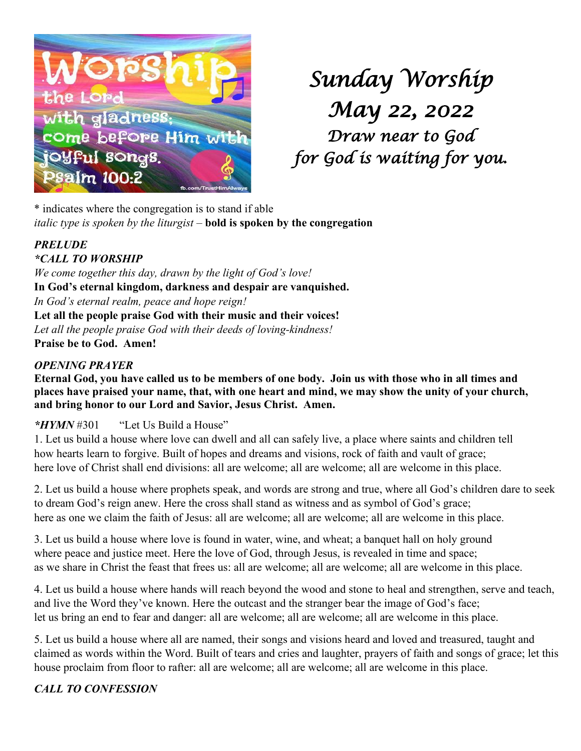

*Sunday Worship May 22, 2022 Draw near to God for God is waiting for you.* 

\* indicates where the congregation is to stand if able *italic type is spoken by the liturgist –* **bold is spoken by the congregation**

# *PRELUDE*

*\*CALL TO WORSHIP We come together this day, drawn by the light of God's love!* **In God's eternal kingdom, darkness and despair are vanquished.** *In God's eternal realm, peace and hope reign!* **Let all the people praise God with their music and their voices!** *Let all the people praise God with their deeds of loving-kindness!* **Praise be to God. Amen!**

# *OPENING PRAYER*

**Eternal God, you have called us to be members of one body. Join us with those who in all times and places have praised your name, that, with one heart and mind, we may show the unity of your church, and bring honor to our Lord and Savior, Jesus Christ. Amen.** 

# \***HYMN** #301 "Let Us Build a House"

1. Let us build a house where love can dwell and all can safely live, a place where saints and children tell how hearts learn to forgive. Built of hopes and dreams and visions, rock of faith and vault of grace; here love of Christ shall end divisions: all are welcome; all are welcome; all are welcome in this place.

2. Let us build a house where prophets speak, and words are strong and true, where all God's children dare to seek to dream God's reign anew. Here the cross shall stand as witness and as symbol of God's grace; here as one we claim the faith of Jesus: all are welcome; all are welcome; all are welcome in this place.

3. Let us build a house where love is found in water, wine, and wheat; a banquet hall on holy ground where peace and justice meet. Here the love of God, through Jesus, is revealed in time and space; as we share in Christ the feast that frees us: all are welcome; all are welcome; all are welcome in this place.

4. Let us build a house where hands will reach beyond the wood and stone to heal and strengthen, serve and teach, and live the Word they've known. Here the outcast and the stranger bear the image of God's face; let us bring an end to fear and danger: all are welcome; all are welcome; all are welcome in this place.

5. Let us build a house where all are named, their songs and visions heard and loved and treasured, taught and claimed as words within the Word. Built of tears and cries and laughter, prayers of faith and songs of grace; let this house proclaim from floor to rafter: all are welcome; all are welcome; all are welcome in this place.

# *CALL TO CONFESSION*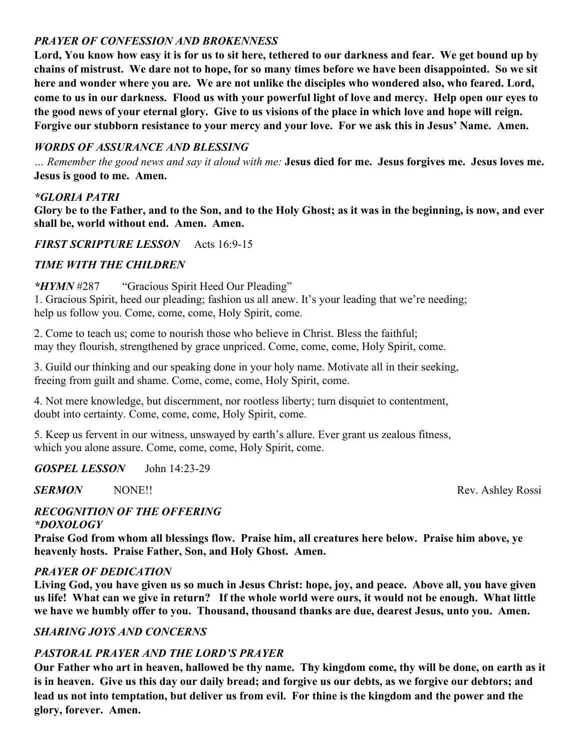#### *PRAYER OF CONFESSION AND BROKENNESS*

**Lord, You know how easy it is for us to sit here, tethered to our darkness and fear. We get bound up by chains of mistrust. We dare not to hope, for so many times before we have been disappointed. So we sit here and wonder where you are. We are not unlike the disciples who wondered also, who feared. Lord, come to us in our darkness. Flood us with your powerful light of love and mercy. Help open our eyes to the good news of your eternal glory. Give to us visions of the place in which love and hope will reign. Forgive our stubborn resistance to your mercy and your love. For we ask this in Jesus' Name. Amen.**

### *WORDS OF ASSURANCE AND BLESSING*

*… Remember the good news and say it aloud with me:* **Jesus died for me. Jesus forgives me. Jesus loves me. Jesus is good to me. Amen.**

### *\*GLORIA PATRI*

**Glory be to the Father, and to the Son, and to the Holy Ghost; as it was in the beginning, is now, and ever shall be, world without end. Amen. Amen.**

*FIRST SCRIPTURE LESSON* Acts 16:9-15

# *TIME WITH THE CHILDREN*

*\*HYMN* #287 "Gracious Spirit Heed Our Pleading" 1. Gracious Spirit, heed our pleading; fashion us all anew. It's your leading that we're needing; help us follow you. Come, come, come, Holy Spirit, come.

2. Come to teach us; come to nourish those who believe in Christ. Bless the faithful; may they flourish, strengthened by grace unpriced. Come, come, come, Holy Spirit, come.

3. Guild our thinking and our speaking done in your holy name. Motivate all in their seeking, freeing from guilt and shame. Come, come, come, Holy Spirit, come.

4. Not mere knowledge, but discernment, nor rootless liberty; turn disquiet to contentment, doubt into certainty. Come, come, come, Holy Spirit, come.

5. Keep us fervent in our witness, unswayed by earth's allure. Ever grant us zealous fitness, which you alone assure. Come, come, come, Holy Spirit, come.

#### *GOSPEL LESSON* John 14:23-29

**SERMON** NONE!! Rev. Ashley Rossi

#### *RECOGNITION OF THE OFFERING \*DOXOLOGY*

**Praise God from whom all blessings flow. Praise him, all creatures here below. Praise him above, ye heavenly hosts. Praise Father, Son, and Holy Ghost. Amen.**

# *PRAYER OF DEDICATION*

**Living God, you have given us so much in Jesus Christ: hope, joy, and peace. Above all, you have given us life! What can we give in return? If the whole world were ours, it would not be enough. What little we have we humbly offer to you. Thousand, thousand thanks are due, dearest Jesus, unto you. Amen.** 

# *SHARING JOYS AND CONCERNS*

# *PASTORAL PRAYER AND THE LORD'S PRAYER*

**Our Father who art in heaven, hallowed be thy name. Thy kingdom come, thy will be done, on earth as it is in heaven. Give us this day our daily bread; and forgive us our debts, as we forgive our debtors; and lead us not into temptation, but deliver us from evil. For thine is the kingdom and the power and the glory, forever. Amen.**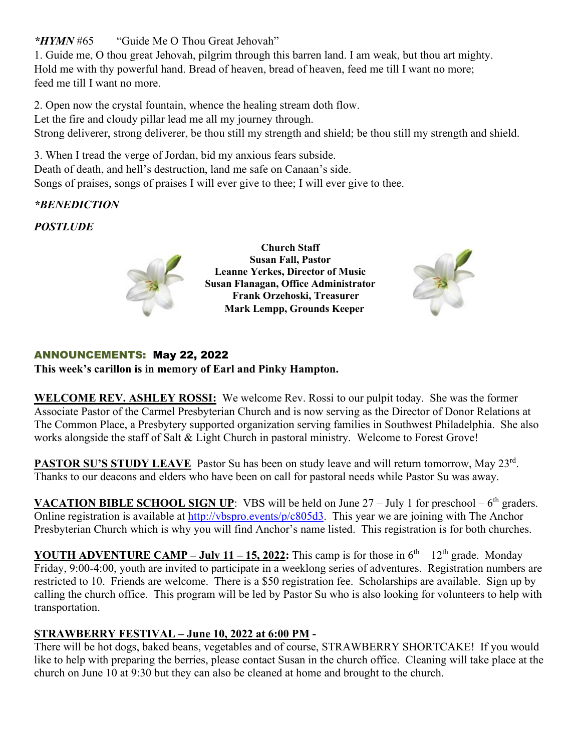*\*HYMN* #65 "Guide Me O Thou Great Jehovah"

1. Guide me, O thou great Jehovah, pilgrim through this barren land. I am weak, but thou art mighty. Hold me with thy powerful hand. Bread of heaven, bread of heaven, feed me till I want no more; feed me till I want no more.

2. Open now the crystal fountain, whence the healing stream doth flow. Let the fire and cloudy pillar lead me all my journey through. Strong deliverer, strong deliverer, be thou still my strength and shield; be thou still my strength and shield.

3. When I tread the verge of Jordan, bid my anxious fears subside. Death of death, and hell's destruction, land me safe on Canaan's side. Songs of praises, songs of praises I will ever give to thee; I will ever give to thee.

# *\*BENEDICTION*

*POSTLUDE*



**Church Staff Susan Fall, Pastor Leanne Yerkes, Director of Music Susan Flanagan, Office Administrator Frank Orzehoski, Treasurer Mark Lempp, Grounds Keeper**



# ANNOUNCEMENTS: May 22, 2022

**This week's carillon is in memory of Earl and Pinky Hampton.**

**WELCOME REV. ASHLEY ROSSI:** We welcome Rev. Rossi to our pulpit today. She was the former Associate Pastor of the Carmel Presbyterian Church and is now serving as the Director of Donor Relations at The Common Place, a Presbytery supported organization serving families in Southwest Philadelphia. She also works alongside the staff of Salt & Light Church in pastoral ministry. Welcome to Forest Grove!

**PASTOR SU'S STUDY LEAVE** Pastor Su has been on study leave and will return tomorrow, May 23<sup>rd</sup>. Thanks to our deacons and elders who have been on call for pastoral needs while Pastor Su was away.

**VACATION BIBLE SCHOOL SIGN UP:** VBS will be held on June 27 – July 1 for preschool – 6<sup>th</sup> graders. Online registration is available at [http://vbspro.events/p/c805d3.](http://vbspro.events/p/c805d3) This year we are joining with The Anchor Presbyterian Church which is why you will find Anchor's name listed. This registration is for both churches.

**YOUTH ADVENTURE CAMP – July 11 – 15, 2022:** This camp is for those in  $6<sup>th</sup> - 12<sup>th</sup>$  grade. Monday – Friday, 9:00-4:00, youth are invited to participate in a weeklong series of adventures. Registration numbers are restricted to 10. Friends are welcome. There is a \$50 registration fee. Scholarships are available. Sign up by calling the church office. This program will be led by Pastor Su who is also looking for volunteers to help with transportation.

# **STRAWBERRY FESTIVAL – June 10, 2022 at 6:00 PM -**

There will be hot dogs, baked beans, vegetables and of course, STRAWBERRY SHORTCAKE! If you would like to help with preparing the berries, please contact Susan in the church office. Cleaning will take place at the church on June 10 at 9:30 but they can also be cleaned at home and brought to the church.